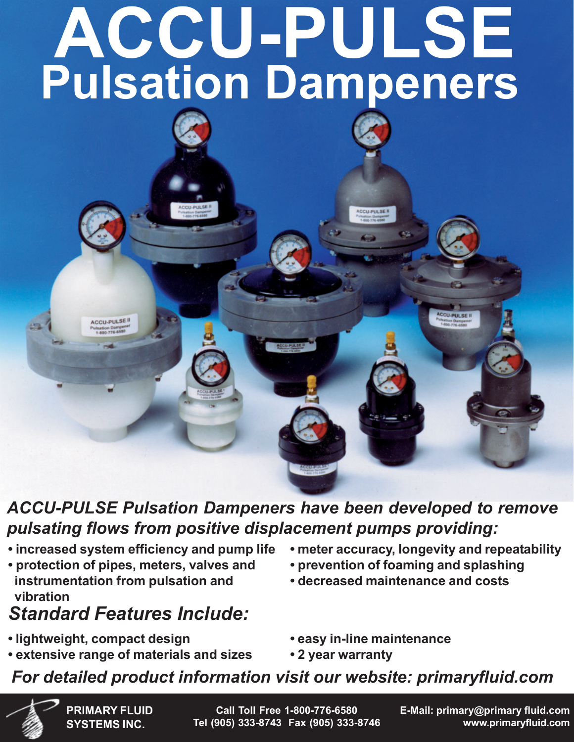# **ACCU-PULSE Pulsation Dampeners**

### *ACCU-PULSE Pulsation Dampeners have been developed to remove pulsating flows from positive displacement pumps providing:*

- **increased system efficiency and pump life**
- **protection of pipes, meters, valves and instrumentation from pulsation and vibration**

## *Standard Features Include:*

**• lightweight, compact design**

**ACCU-PULSE II** 

**• extensive range of materials and sizes**

- **meter accuracy, longevity and repeatability**
- **prevention of foaming and splashing**
- **decreased maintenance and costs**
- **easy in-line maintenance**
- **2 year warranty**

## *For detailed product information visit our website: primaryfluid.com*

**PRIMARY FLUID SYSTEMS INC.**

**Call Toll Free 1-800-776-6580 Tel (905) 333-8743 Fax (905) 333-8746**

**E-Mail: primary@primary fluid.com www.primaryfluid.com**